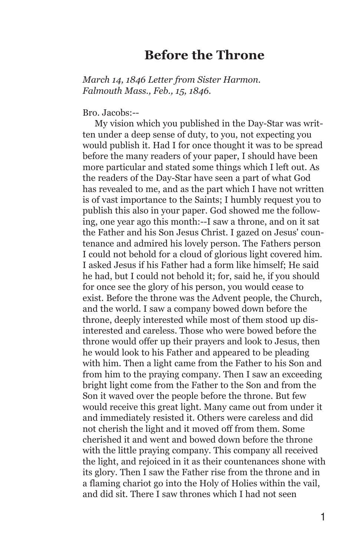# Before the Throne

March 14, 1846 Letter from Sister Harmon. Falmouth Mass., Feb., 15, 1846.

Bro. Jacobs:--

My vision which you published in the Day-Star was written under a deep sense of duty, to you, not expecting you would publish it. Had I for once thought it was to be spread before the many readers of your paper, I should have been more particular and stated some things which I left out. As the readers of the Day-Star have seen a part of what God has revealed to me, and as the part which I have not written is of vast importance to the Saints; I humbly request you to publish this also in your paper. God showed me the following, one year ago this month:--I saw a throne, and on it sat the Father and his Son Jesus Christ. I gazed on Jesus' countenance and admired his lovely person. The Fathers person I could not behold for a cloud of glorious light covered him. I asked Jesus if his Father had a form like himself; He said he had, but I could not behold it; for, said he, if you should for once see the glory of his person, you would cease to exist. Before the throne was the Advent people, the Church, and the world. I saw a company bowed down before the throne, deeply interested while most of them stood up disinterested and careless. Those who were bowed before the throne would offer up their prayers and look to Jesus, then he would look to his Father and appeared to be pleading with him. Then a light came from the Father to his Son and from him to the praying company. Then I saw an exceeding bright light come from the Father to the Son and from the Son it waved over the people before the throne. But few would receive this great light. Many came out from under it and immediately resisted it. Others were careless and did not cherish the light and it moved off from them. Some cherished it and went and bowed down before the throne with the little praying company. This company all received the light, and rejoiced in it as their countenances shone with its glory. Then I saw the Father rise from the throne and in a flaming chariot go into the Holy of Holies within the vail, and did sit. There I saw thrones which I had not seen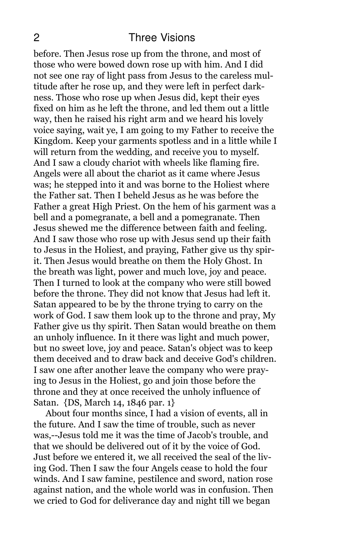before. Then Jesus rose up from the throne, and most of those who were bowed down rose up with him. And I did not see one ray of light pass from Jesus to the careless multitude after he rose up, and they were left in perfect darkness. Those who rose up when Jesus did, kept their eyes fixed on him as he left the throne, and led them out a little way, then he raised his right arm and we heard his lovely voice saying, wait ye, I am going to my Father to receive the Kingdom. Keep your garments spotless and in a little while I will return from the wedding, and receive you to myself. And I saw a cloudy chariot with wheels like flaming fire. Angels were all about the chariot as it came where Jesus was; he stepped into it and was borne to the Holiest where the Father sat. Then I beheld Jesus as he was before the Father a great High Priest. On the hem of his garment was a bell and a pomegranate, a bell and a pomegranate. Then Jesus shewed me the difference between faith and feeling. And I saw those who rose up with Jesus send up their faith to Jesus in the Holiest, and praying, Father give us thy spirit. Then Jesus would breathe on them the Holy Ghost. In the breath was light, power and much love, joy and peace. Then I turned to look at the company who were still bowed before the throne. They did not know that Jesus had left it. Satan appeared to be by the throne trying to carry on the work of God. I saw them look up to the throne and pray, My Father give us thy spirit. Then Satan would breathe on them an unholy influence. In it there was light and much power, but no sweet love, joy and peace. Satan's object was to keep them deceived and to draw back and deceive God's children. I saw one after another leave the company who were praying to Jesus in the Holiest, go and join those before the throne and they at once received the unholy influence of Satan. {DS, March 14, 1846 par. 1}

About four months since, I had a vision of events, all in the future. And I saw the time of trouble, such as never was,--Jesus told me it was the time of Jacob's trouble, and that we should be delivered out of it by the voice of God. Just before we entered it, we all received the seal of the living God. Then I saw the four Angels cease to hold the four winds. And I saw famine, pestilence and sword, nation rose against nation, and the whole world was in confusion. Then we cried to God for deliverance day and night till we began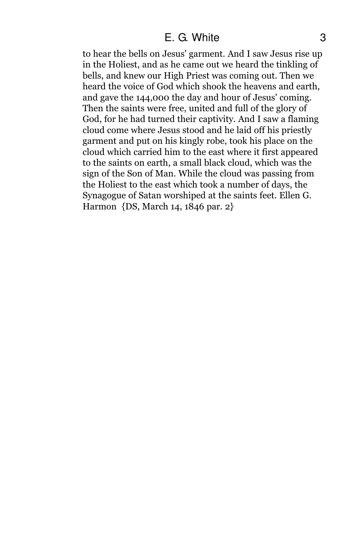to hear the bells on Jesus' garment. And I saw Jesus rise up in the Holiest, and as he came out we heard the tinkling of bells, and knew our High Priest was coming out. Then we heard the voice of God which shook the heavens and earth, and gave the 144,000 the day and hour of Jesus' coming. Then the saints were free, united and full of the glory of God, for he had turned their captivity. And I saw a flaming cloud come where Jesus stood and he laid off his priestly garment and put on his kingly robe, took his place on the cloud which carried him to the east where it first appeared to the saints on earth, a small black cloud, which was the sign of the Son of Man. While the cloud was passing from the Holiest to the east which took a number of days, the Synagogue of Satan worshiped at the saints feet. Ellen G. Harmon {DS, March 14, 1846 par. 2}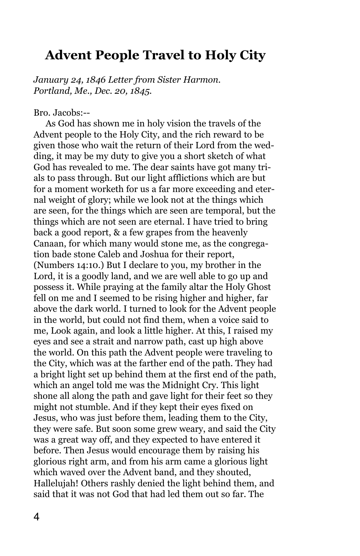## Advent People Travel to Holy City

January 24, 1846 Letter from Sister Harmon. Portland, Me., Dec. 20, 1845.

#### Bro. Jacobs:--

As God has shown me in holy vision the travels of the Advent people to the Holy City, and the rich reward to be given those who wait the return of their Lord from the wedding, it may be my duty to give you a short sketch of what God has revealed to me. The dear saints have got many trials to pass through. But our light afflictions which are but for a moment worketh for us a far more exceeding and eternal weight of glory; while we look not at the things which are seen, for the things which are seen are temporal, but the things which are not seen are eternal. I have tried to bring back a good report, & a few grapes from the heavenly Canaan, for which many would stone me, as the congregation bade stone Caleb and Joshua for their report, (Numbers 14:10.) But I declare to you, my brother in the Lord, it is a goodly land, and we are well able to go up and possess it. While praying at the family altar the Holy Ghost fell on me and I seemed to be rising higher and higher, far above the dark world. I turned to look for the Advent people in the world, but could not find them, when a voice said to me, Look again, and look a little higher. At this, I raised my eyes and see a strait and narrow path, cast up high above the world. On this path the Advent people were traveling to the City, which was at the farther end of the path. They had a bright light set up behind them at the first end of the path, which an angel told me was the Midnight Cry. This light shone all along the path and gave light for their feet so they might not stumble. And if they kept their eyes fixed on Jesus, who was just before them, leading them to the City, they were safe. But soon some grew weary, and said the City was a great way off, and they expected to have entered it before. Then Jesus would encourage them by raising his glorious right arm, and from his arm came a glorious light which waved over the Advent band, and they shouted, Hallelujah! Others rashly denied the light behind them, and said that it was not God that had led them out so far. The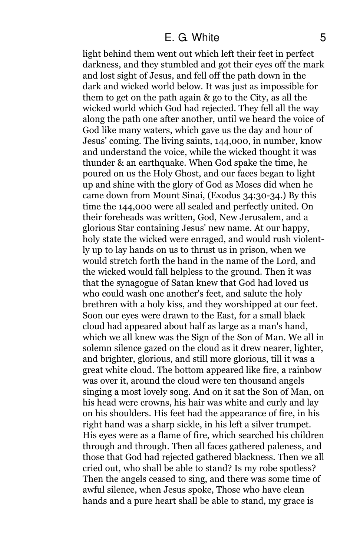light behind them went out which left their feet in perfect darkness, and they stumbled and got their eyes off the mark and lost sight of Jesus, and fell off the path down in the dark and wicked world below. It was just as impossible for them to get on the path again & go to the City, as all the wicked world which God had rejected. They fell all the way along the path one after another, until we heard the voice of God like many waters, which gave us the day and hour of Jesus' coming. The living saints, 144,000, in number, know and understand the voice, while the wicked thought it was thunder & an earthquake. When God spake the time, he poured on us the Holy Ghost, and our faces began to light up and shine with the glory of God as Moses did when he came down from Mount Sinai, (Exodus 34:30-34.) By this time the 144,000 were all sealed and perfectly united. On their foreheads was written, God, New Jerusalem, and a glorious Star containing Jesus' new name. At our happy, holy state the wicked were enraged, and would rush violently up to lay hands on us to thrust us in prison, when we would stretch forth the hand in the name of the Lord, and the wicked would fall helpless to the ground. Then it was that the synagogue of Satan knew that God had loved us who could wash one another's feet, and salute the holy brethren with a holy kiss, and they worshipped at our feet. Soon our eyes were drawn to the East, for a small black cloud had appeared about half as large as a man's hand, which we all knew was the Sign of the Son of Man. We all in solemn silence gazed on the cloud as it drew nearer, lighter, and brighter, glorious, and still more glorious, till it was a great white cloud. The bottom appeared like fire, a rainbow was over it, around the cloud were ten thousand angels singing a most lovely song. And on it sat the Son of Man, on his head were crowns, his hair was white and curly and lay on his shoulders. His feet had the appearance of fire, in his right hand was a sharp sickle, in his left a silver trumpet. His eves were as a flame of fire, which searched his children through and through. Then all faces gathered paleness, and those that God had rejected gathered blackness. Then we all cried out, who shall be able to stand? Is my robe spotless? Then the angels ceased to sing, and there was some time of awful silence, when Jesus spoke, Those who have clean hands and a pure heart shall be able to stand, my grace is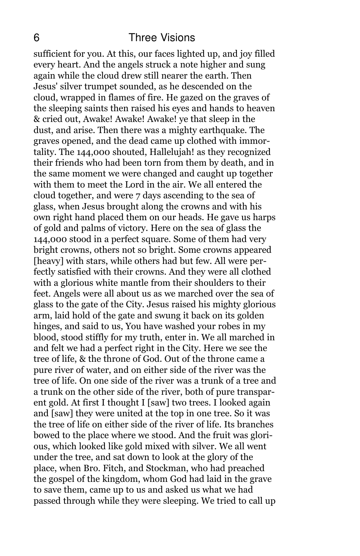sufficient for you. At this, our faces lighted up, and joy filled every heart. And the angels struck a note higher and sung again while the cloud drew still nearer the earth. Then Jesus' silver trumpet sounded, as he descended on the cloud, wrapped in flames of fire. He gazed on the graves of the sleeping saints then raised his eyes and hands to heaven & cried out, Awake! Awake! Awake! ye that sleep in the dust, and arise. Then there was a mighty earthquake. The graves opened, and the dead came up clothed with immortality. The 144,000 shouted, Hallelujah! as they recognized their friends who had been torn from them by death, and in the same moment we were changed and caught up together with them to meet the Lord in the air. We all entered the cloud together, and were 7 days ascending to the sea of glass, when Jesus brought along the crowns and with his own right hand placed them on our heads. He gave us harps of gold and palms of victory. Here on the sea of glass the 144,000 stood in a perfect square. Some of them had very bright crowns, others not so bright. Some crowns appeared [heavy] with stars, while others had but few. All were perfectly satisfied with their crowns. And they were all clothed with a glorious white mantle from their shoulders to their feet. Angels were all about us as we marched over the sea of glass to the gate of the City. Jesus raised his mighty glorious arm, laid hold of the gate and swung it back on its golden hinges, and said to us, You have washed your robes in my blood, stood stiffly for my truth, enter in. We all marched in and felt we had a perfect right in the City. Here we see the tree of life, & the throne of God. Out of the throne came a pure river of water, and on either side of the river was the tree of life. On one side of the river was a trunk of a tree and a trunk on the other side of the river, both of pure transparent gold. At first I thought I [saw] two trees. I looked again and [saw] they were united at the top in one tree. So it was the tree of life on either side of the river of life. Its branches bowed to the place where we stood. And the fruit was glorious, which looked like gold mixed with silver. We all went under the tree, and sat down to look at the glory of the place, when Bro. Fitch, and Stockman, who had preached the gospel of the kingdom, whom God had laid in the grave to save them, came up to us and asked us what we had passed through while they were sleeping. We tried to call up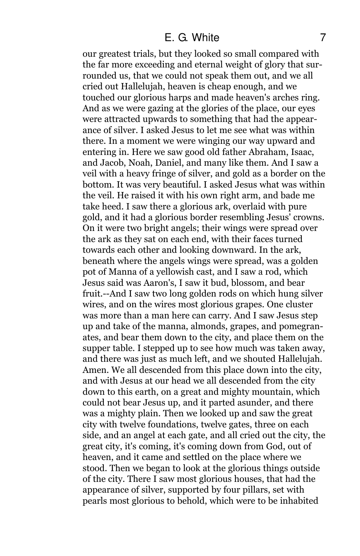our greatest trials, but they looked so small compared with the far more exceeding and eternal weight of glory that surrounded us, that we could not speak them out, and we all cried out Hallelujah, heaven is cheap enough, and we touched our glorious harps and made heaven's arches ring. And as we were gazing at the glories of the place, our eyes were attracted upwards to something that had the appearance of silver. I asked Jesus to let me see what was within there. In a moment we were winging our way upward and entering in. Here we saw good old father Abraham, Isaac, and Jacob, Noah, Daniel, and many like them. And I saw a veil with a heavy fringe of silver, and gold as a border on the bottom. It was very beautiful. I asked Jesus what was within the veil. He raised it with his own right arm, and bade me take heed. I saw there a glorious ark, overlaid with pure gold, and it had a glorious border resembling Jesus' crowns. On it were two bright angels; their wings were spread over the ark as they sat on each end, with their faces turned towards each other and looking downward. In the ark, beneath where the angels wings were spread, was a golden pot of Manna of a yellowish cast, and I saw a rod, which Jesus said was Aaron's, I saw it bud, blossom, and bear fruit.--And I saw two long golden rods on which hung silver wires, and on the wires most glorious grapes. One cluster was more than a man here can carry. And I saw Jesus step up and take of the manna, almonds, grapes, and pomegranates, and bear them down to the city, and place them on the supper table. I stepped up to see how much was taken away, and there was just as much left, and we shouted Hallelujah. Amen. We all descended from this place down into the city, and with Jesus at our head we all descended from the city down to this earth, on a great and mighty mountain, which could not bear Jesus up, and it parted asunder, and there was a mighty plain. Then we looked up and saw the great city with twelve foundations, twelve gates, three on each side, and an angel at each gate, and all cried out the city, the great city, it's coming, it's coming down from God, out of heaven, and it came and settled on the place where we stood. Then we began to look at the glorious things outside of the city. There I saw most glorious houses, that had the appearance of silver, supported by four pillars, set with pearls most glorious to behold, which were to be inhabited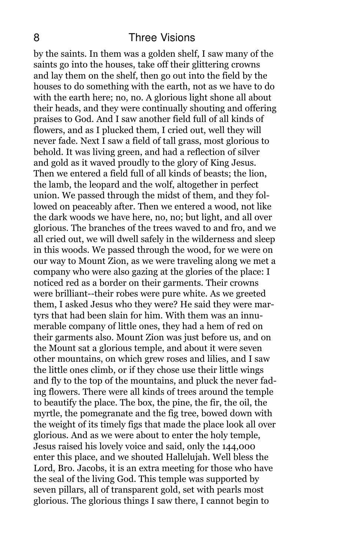by the saints. In them was a golden shelf, I saw many of the saints go into the houses, take off their glittering crowns and lay them on the shelf, then go out into the field by the houses to do something with the earth, not as we have to do with the earth here; no, no. A glorious light shone all about their heads, and they were continually shouting and offering praises to God. And I saw another field full of all kinds of flowers, and as I plucked them, I cried out, well they will never fade. Next I saw a field of tall grass, most glorious to behold. It was living green, and had a reflection of silver and gold as it waved proudly to the glory of King Jesus. Then we entered a field full of all kinds of beasts; the lion, the lamb, the leopard and the wolf, altogether in perfect union. We passed through the midst of them, and they followed on peaceably after. Then we entered a wood, not like the dark woods we have here, no, no; but light, and all over glorious. The branches of the trees waved to and fro, and we all cried out, we will dwell safely in the wilderness and sleep in this woods. We passed through the wood, for we were on our way to Mount Zion, as we were traveling along we met a company who were also gazing at the glories of the place: I noticed red as a border on their garments. Their crowns were brilliant--their robes were pure white. As we greeted them, I asked Jesus who they were? He said they were martyrs that had been slain for him. With them was an innumerable company of little ones, they had a hem of red on their garments also. Mount Zion was just before us, and on the Mount sat a glorious temple, and about it were seven other mountains, on which grew roses and lilies, and I saw the little ones climb, or if they chose use their little wings and fly to the top of the mountains, and pluck the never fading flowers. There were all kinds of trees around the temple to beautify the place. The box, the pine, the fir, the oil, the myrtle, the pomegranate and the fig tree, bowed down with the weight of its timely figs that made the place look all over glorious. And as we were about to enter the holy temple, Jesus raised his lovely voice and said, only the 144,000 enter this place, and we shouted Hallelujah. Well bless the Lord, Bro. Jacobs, it is an extra meeting for those who have the seal of the living God. This temple was supported by seven pillars, all of transparent gold, set with pearls most glorious. The glorious things I saw there, I cannot begin to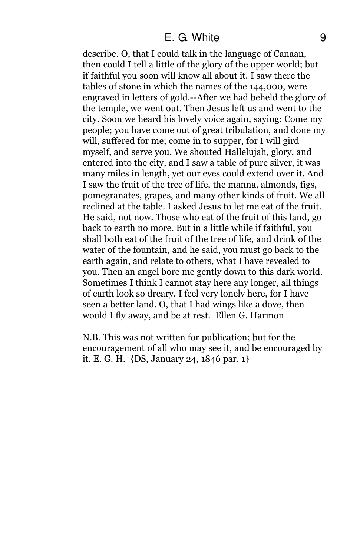describe. O, that I could talk in the language of Canaan, then could I tell a little of the glory of the upper world; but if faithful you soon will know all about it. I saw there the tables of stone in which the names of the 144,000, were engraved in letters of gold.--After we had beheld the glory of the temple, we went out. Then Jesus left us and went to the city. Soon we heard his lovely voice again, saying: Come my people; you have come out of great tribulation, and done my will, suffered for me; come in to supper, for I will gird myself, and serve you. We shouted Hallelujah, glory, and entered into the city, and I saw a table of pure silver, it was many miles in length, yet our eyes could extend over it. And I saw the fruit of the tree of life, the manna, almonds, figs, pomegranates, grapes, and many other kinds of fruit. We all reclined at the table. I asked Jesus to let me eat of the fruit. He said, not now. Those who eat of the fruit of this land, go back to earth no more. But in a little while if faithful, you shall both eat of the fruit of the tree of life, and drink of the water of the fountain, and he said, you must go back to the earth again, and relate to others, what I have revealed to you. Then an angel bore me gently down to this dark world. Sometimes I think I cannot stay here any longer, all things of earth look so dreary. I feel very lonely here, for I have seen a better land. O, that I had wings like a dove, then would I fly away, and be at rest. Ellen G. Harmon

N.B. This was not written for publication; but for the encouragement of all who may see it, and be encouraged by it. E. G. H. {DS, January 24, 1846 par. 1}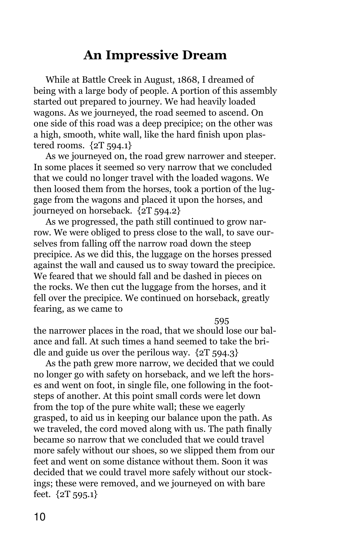## An Impressive Dream

While at Battle Creek in August, 1868, I dreamed of being with a large body of people. A portion of this assembly started out prepared to journey. We had heavily loaded wagons. As we journeyed, the road seemed to ascend. On one side of this road was a deep precipice; on the other was a high, smooth, white wall, like the hard finish upon plastered rooms.  $\{2T, 594.1\}$ 

As we journeyed on, the road grew narrower and steeper. In some places it seemed so very narrow that we concluded that we could no longer travel with the loaded wagons. We then loosed them from the horses, took a portion of the luggage from the wagons and placed it upon the horses, and journeyed on horseback. {2T 594.2}

As we progressed, the path still continued to grow narrow. We were obliged to press close to the wall, to save ourselves from falling off the narrow road down the steep precipice. As we did this, the luggage on the horses pressed against the wall and caused us to sway toward the precipice. We feared that we should fall and be dashed in pieces on the rocks. We then cut the luggage from the horses, and it fell over the precipice. We continued on horseback, greatly fearing, as we came to

595

the narrower places in the road, that we should lose our balance and fall. At such times a hand seemed to take the bridle and guide us over the perilous way. {2T 594.3}

As the path grew more narrow, we decided that we could no longer go with safety on horseback, and we left the horses and went on foot, in single file, one following in the footsteps of another. At this point small cords were let down from the top of the pure white wall; these we eagerly grasped, to aid us in keeping our balance upon the path. As we traveled, the cord moved along with us. The path finally became so narrow that we concluded that we could travel more safely without our shoes, so we slipped them from our feet and went on some distance without them. Soon it was decided that we could travel more safely without our stockings; these were removed, and we journeyed on with bare feet. {2T 595.1}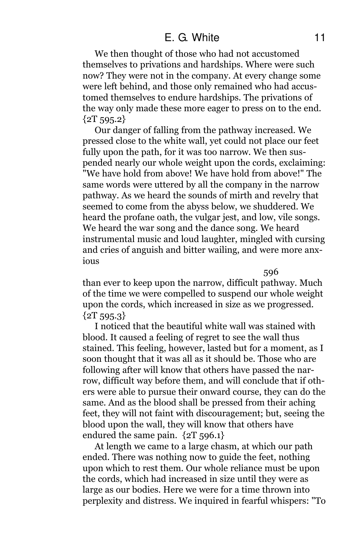## E. G. White 11

We then thought of those who had not accustomed themselves to privations and hardships. Where were such now? They were not in the company. At every change some were left behind, and those only remained who had accustomed themselves to endure hardships. The privations of the way only made these more eager to press on to the end.  ${2T 595.2}$ 

Our danger of falling from the pathway increased. We pressed close to the white wall, yet could not place our feet fully upon the path, for it was too narrow. We then suspended nearly our whole weight upon the cords, exclaiming: "We have hold from above! We have hold from above!" The same words were uttered by all the company in the narrow pathway. As we heard the sounds of mirth and revelry that seemed to come from the abyss below, we shuddered. We heard the profane oath, the vulgar jest, and low, vile songs. We heard the war song and the dance song. We heard instrumental music and loud laughter, mingled with cursing and cries of anguish and bitter wailing, and were more anxious

596

than ever to keep upon the narrow, difficult pathway. Much of the time we were compelled to suspend our whole weight upon the cords, which increased in size as we progressed.  ${2T 595.3}$ 

I noticed that the beautiful white wall was stained with blood. It caused a feeling of regret to see the wall thus stained. This feeling, however, lasted but for a moment, as I soon thought that it was all as it should be. Those who are following after will know that others have passed the narrow, difficult way before them, and will conclude that if others were able to pursue their onward course, they can do the same. And as the blood shall be pressed from their aching feet, they will not faint with discouragement; but, seeing the blood upon the wall, they will know that others have endured the same pain.  ${2T\,596.1}$ 

At length we came to a large chasm, at which our path ended. There was nothing now to guide the feet, nothing upon which to rest them. Our whole reliance must be upon the cords, which had increased in size until they were as large as our bodies. Here we were for a time thrown into perplexity and distress. We inquired in fearful whispers: "To